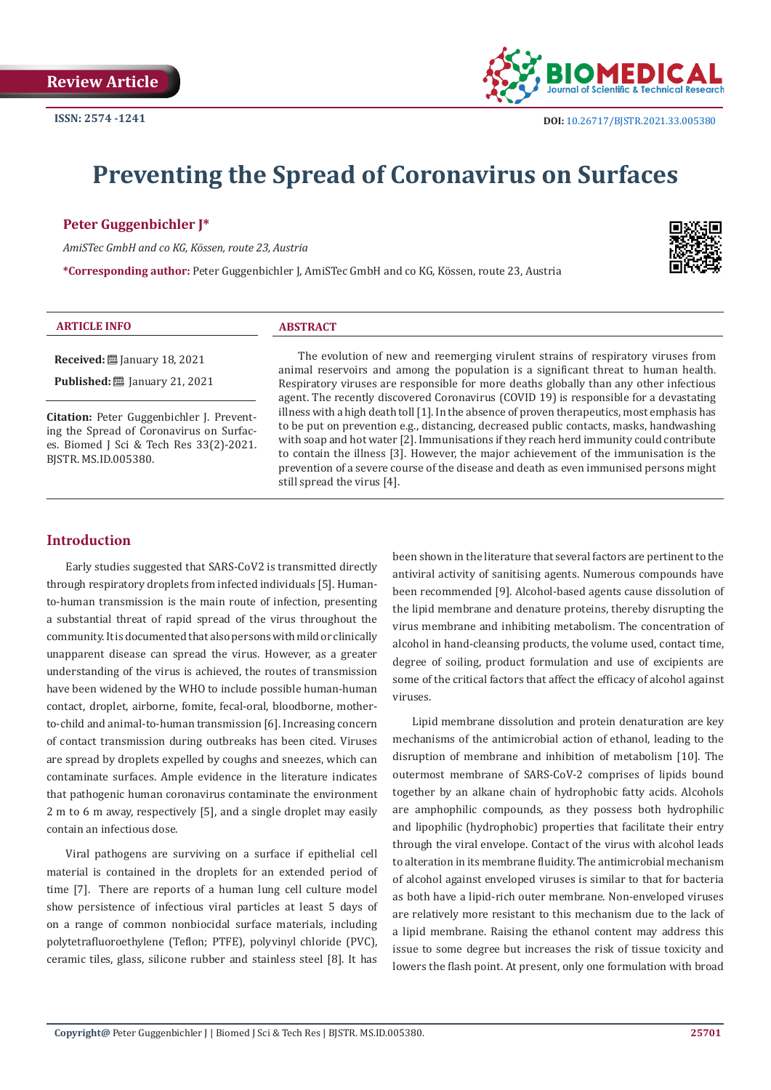

# **Preventing the Spread of Coronavirus on Surfaces**

# **Peter Guggenbichler J\***

*AmiSTec GmbH and co KG, Kössen, route 23, Austria*

**\*Corresponding author:** Peter Guggenbichler J, AmiSTec GmbH and co KG, Kössen, route 23, Austria



# **ARTICLE INFO ABSTRACT**

**Received:** January 18, 2021 **Published:** ■ January 21, 2021

**Citation:** Peter Guggenbichler J. Preventing the Spread of Coronavirus on Surfaces. Biomed J Sci & Tech Res 33(2)-2021. BJSTR. MS.ID.005380.

The evolution of new and reemerging virulent strains of respiratory viruses from animal reservoirs and among the population is a significant threat to human health. Respiratory viruses are responsible for more deaths globally than any other infectious agent. The recently discovered Coronavirus (COVID 19) is responsible for a devastating illness with a high death toll [1]. In the absence of proven therapeutics, most emphasis has to be put on prevention e.g., distancing, decreased public contacts, masks, handwashing with soap and hot water [2]. Immunisations if they reach herd immunity could contribute to contain the illness [3]. However, the major achievement of the immunisation is the prevention of a severe course of the disease and death as even immunised persons might still spread the virus [4].

# **Introduction**

Early studies suggested that SARS-CoV2 is transmitted directly through respiratory droplets from infected individuals [5]. Humanto-human transmission is the main route of infection, presenting a substantial threat of rapid spread of the virus throughout the community. It is documented that also persons with mild or clinically unapparent disease can spread the virus. However, as a greater understanding of the virus is achieved, the routes of transmission have been widened by the WHO to include possible human-human contact, droplet, airborne, fomite, fecal-oral, bloodborne, motherto-child and animal-to-human transmission [6]. Increasing concern of contact transmission during outbreaks has been cited. Viruses are spread by droplets expelled by coughs and sneezes, which can contaminate surfaces. Ample evidence in the literature indicates that pathogenic human coronavirus contaminate the environment 2 m to 6 m away, respectively [5], and a single droplet may easily contain an infectious dose.

Viral pathogens are surviving on a surface if epithelial cell material is contained in the droplets for an extended period of time [7]. There are reports of a human lung cell culture model show persistence of infectious viral particles at least 5 days of on a range of common nonbiocidal surface materials, including polytetrafluoroethylene (Teflon; PTFE), polyvinyl chloride (PVC), ceramic tiles, glass, silicone rubber and stainless steel [8]. It has

been shown in the literature that several factors are pertinent to the antiviral activity of sanitising agents. Numerous compounds have been recommended [9]. Alcohol-based agents cause dissolution of the lipid membrane and denature proteins, thereby disrupting the virus membrane and inhibiting metabolism. The concentration of alcohol in hand-cleansing products, the volume used, contact time, degree of soiling, product formulation and use of excipients are some of the critical factors that affect the efficacy of alcohol against viruses.

Lipid membrane dissolution and protein denaturation are key mechanisms of the antimicrobial action of ethanol, leading to the disruption of membrane and inhibition of metabolism [10]. The outermost membrane of SARS-CoV-2 comprises of lipids bound together by an alkane chain of hydrophobic fatty acids. Alcohols are amphophilic compounds, as they possess both hydrophilic and lipophilic (hydrophobic) properties that facilitate their entry through the viral envelope. Contact of the virus with alcohol leads to alteration in its membrane fluidity. The antimicrobial mechanism of alcohol against enveloped viruses is similar to that for bacteria as both have a lipid-rich outer membrane. Non-enveloped viruses are relatively more resistant to this mechanism due to the lack of a lipid membrane. Raising the ethanol content may address this issue to some degree but increases the risk of tissue toxicity and lowers the flash point. At present, only one formulation with broad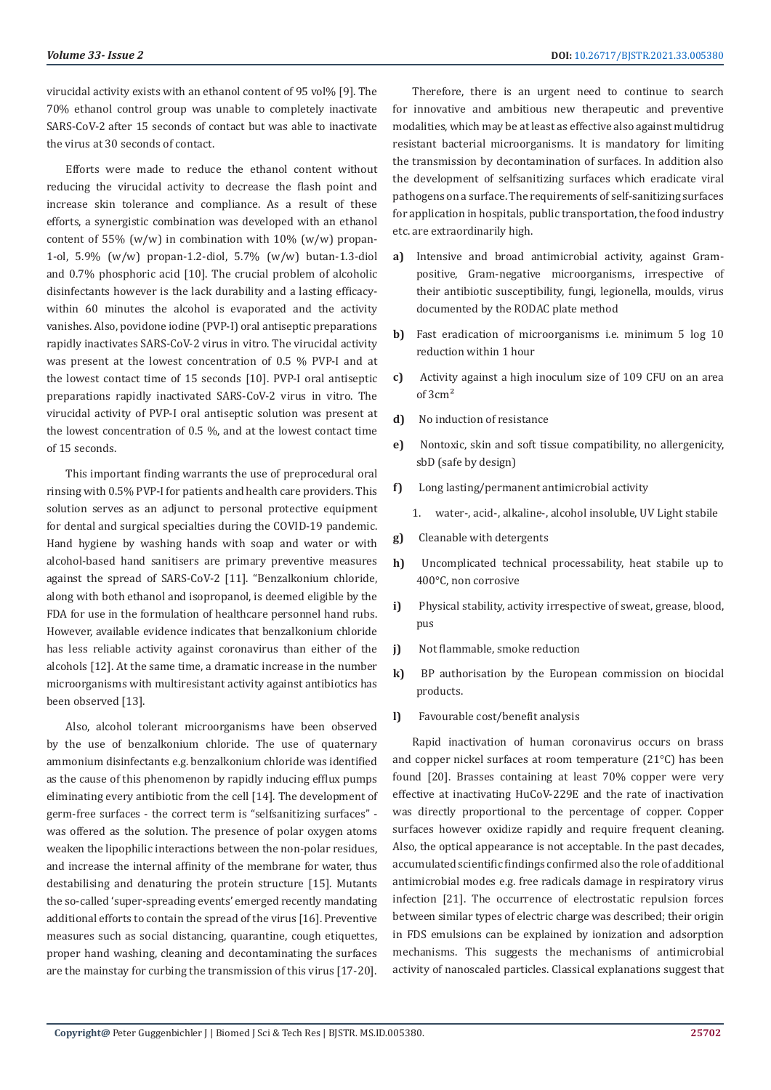virucidal activity exists with an ethanol content of 95 vol% [9]. The 70% ethanol control group was unable to completely inactivate SARS-CoV-2 after 15 seconds of contact but was able to inactivate the virus at 30 seconds of contact.

Efforts were made to reduce the ethanol content without reducing the virucidal activity to decrease the flash point and increase skin tolerance and compliance. As a result of these efforts, a synergistic combination was developed with an ethanol content of 55% (w/w) in combination with 10% (w/w) propan-1-ol, 5.9% (w/w) propan-1.2-diol, 5.7% (w/w) butan-1.3-diol and 0.7% phosphoric acid [10]. The crucial problem of alcoholic disinfectants however is the lack durability and a lasting efficacywithin 60 minutes the alcohol is evaporated and the activity vanishes. Also, povidone iodine (PVP-I) oral antiseptic preparations rapidly inactivates SARS-CoV-2 virus in vitro. The virucidal activity was present at the lowest concentration of 0.5 % PVP-I and at the lowest contact time of 15 seconds [10]. PVP-I oral antiseptic preparations rapidly inactivated SARS-CoV-2 virus in vitro. The virucidal activity of PVP-I oral antiseptic solution was present at the lowest concentration of 0.5 %, and at the lowest contact time of 15 seconds.

This important finding warrants the use of preprocedural oral rinsing with 0.5% PVP-I for patients and health care providers. This solution serves as an adjunct to personal protective equipment for dental and surgical specialties during the COVID-19 pandemic. Hand hygiene by washing hands with soap and water or with alcohol-based hand sanitisers are primary preventive measures against the spread of SARS-CoV-2 [11]. "Benzalkonium chloride, along with both ethanol and isopropanol, is deemed eligible by the FDA for use in the formulation of healthcare personnel hand rubs. However, available evidence indicates that benzalkonium chloride has less reliable activity against coronavirus than either of the alcohols [12]. At the same time, a dramatic increase in the number microorganisms with multiresistant activity against antibiotics has been observed [13].

Also, alcohol tolerant microorganisms have been observed by the use of benzalkonium chloride. The use of quaternary ammonium disinfectants e.g. benzalkonium chloride was identified as the cause of this phenomenon by rapidly inducing efflux pumps eliminating every antibiotic from the cell [14]. The development of germ-free surfaces - the correct term is "selfsanitizing surfaces" was offered as the solution. The presence of polar oxygen atoms weaken the lipophilic interactions between the non-polar residues, and increase the internal affinity of the membrane for water, thus destabilising and denaturing the protein structure [15]. Mutants the so-called 'super-spreading events' emerged recently mandating additional efforts to contain the spread of the virus [16]. Preventive measures such as social distancing, quarantine, cough etiquettes, proper hand washing, cleaning and decontaminating the surfaces are the mainstay for curbing the transmission of this virus [17-20].

Therefore, there is an urgent need to continue to search for innovative and ambitious new therapeutic and preventive modalities, which may be at least as effective also against multidrug resistant bacterial microorganisms. It is mandatory for limiting the transmission by decontamination of surfaces. In addition also the development of selfsanitizing surfaces which eradicate viral pathogens on a surface. The requirements of self-sanitizing surfaces for application in hospitals, public transportation, the food industry etc. are extraordinarily high.

- **a)** Intensive and broad antimicrobial activity, against Grampositive, Gram-negative microorganisms, irrespective of their antibiotic susceptibility, fungi, legionella, moulds, virus documented by the RODAC plate method
- **b)** Fast eradication of microorganisms i.e. minimum 5 log 10 reduction within 1 hour
- **c)** Activity against a high inoculum size of 109 CFU on an area of 3cm²
- **d)** No induction of resistance
- **e)** Nontoxic, skin and soft tissue compatibility, no allergenicity, sbD (safe by design)
- **f)** Long lasting/permanent antimicrobial activity
	- 1. water-, acid-, alkaline-, alcohol insoluble, UV Light stabile
- **g)** Cleanable with detergents
- **h)** Uncomplicated technical processability, heat stabile up to 400°C, non corrosive
- **i)** Physical stability, activity irrespective of sweat, grease, blood, pus
- **j)** Not flammable, smoke reduction
- **k)** BP authorisation by the European commission on biocidal products.
- **l)** Favourable cost/benefit analysis

Rapid inactivation of human coronavirus occurs on brass and copper nickel surfaces at room temperature (21°C) has been found [20]. Brasses containing at least 70% copper were very effective at inactivating HuCoV-229E and the rate of inactivation was directly proportional to the percentage of copper. Copper surfaces however oxidize rapidly and require frequent cleaning. Also, the optical appearance is not acceptable. In the past decades, accumulated scientific findings confirmed also the role of additional antimicrobial modes e.g. free radicals damage in respiratory virus infection [21]. The occurrence of electrostatic repulsion forces between similar types of electric charge was described; their origin in FDS emulsions can be explained by ionization and adsorption mechanisms. This suggests the mechanisms of antimicrobial activity of nanoscaled particles. Classical explanations suggest that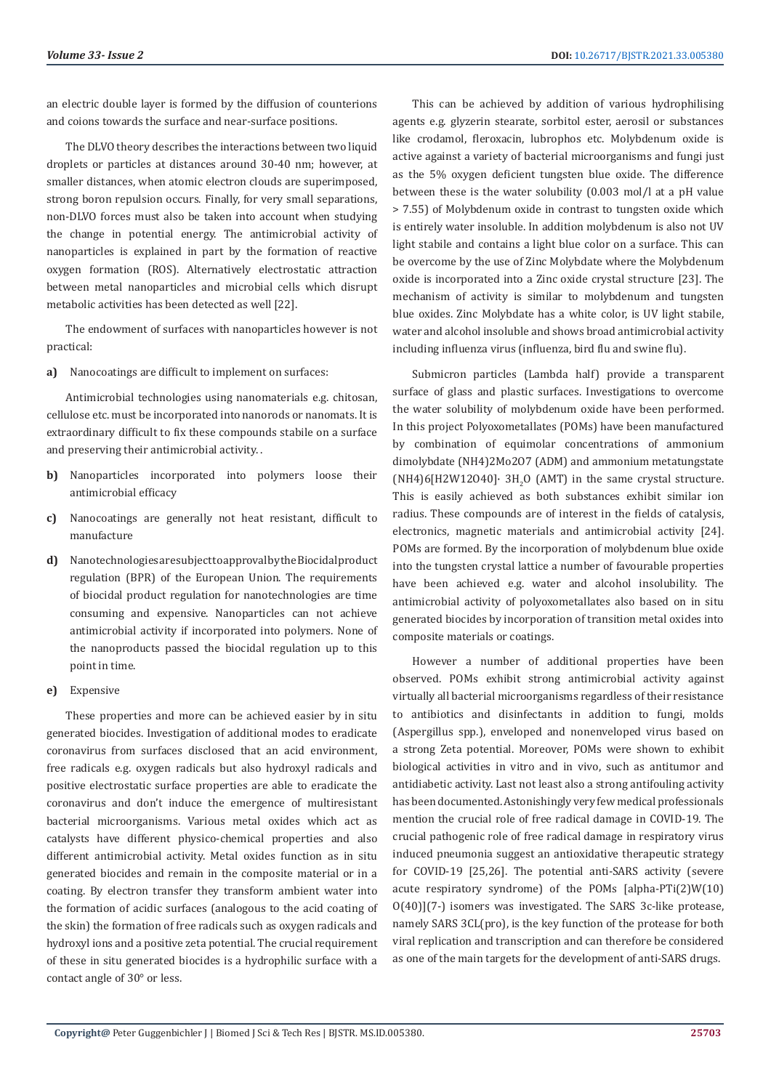an electric double layer is formed by the diffusion of counterions and coions towards the surface and near-surface positions.

The DLVO theory describes the interactions between two liquid droplets or particles at distances around 30-40 nm; however, at smaller distances, when atomic electron clouds are superimposed, strong boron repulsion occurs. Finally, for very small separations, non-DLVO forces must also be taken into account when studying the change in potential energy. The antimicrobial activity of nanoparticles is explained in part by the formation of reactive oxygen formation (ROS). Alternatively electrostatic attraction between metal nanoparticles and microbial cells which disrupt metabolic activities has been detected as well [22].

The endowment of surfaces with nanoparticles however is not practical:

**a)** Nanocoatings are difficult to implement on surfaces:

Antimicrobial technologies using nanomaterials e.g. chitosan, cellulose etc. must be incorporated into nanorods or nanomats. It is extraordinary difficult to fix these compounds stabile on a surface and preserving their antimicrobial activity. .

- **b)** Nanoparticles incorporated into polymers loose their antimicrobial efficacy
- **c)** Nanocoatings are generally not heat resistant, difficult to manufacture
- d) Nanotechnologies are subject to approval by the Biocidal product regulation (BPR) of the European Union. The requirements of biocidal product regulation for nanotechnologies are time consuming and expensive. Nanoparticles can not achieve antimicrobial activity if incorporated into polymers. None of the nanoproducts passed the biocidal regulation up to this point in time.

# **e)** Expensive

These properties and more can be achieved easier by in situ generated biocides. Investigation of additional modes to eradicate coronavirus from surfaces disclosed that an acid environment, free radicals e.g. oxygen radicals but also hydroxyl radicals and positive electrostatic surface properties are able to eradicate the coronavirus and don't induce the emergence of multiresistant bacterial microorganisms. Various metal oxides which act as catalysts have different physico-chemical properties and also different antimicrobial activity. Metal oxides function as in situ generated biocides and remain in the composite material or in a coating. By electron transfer they transform ambient water into the formation of acidic surfaces (analogous to the acid coating of the skin) the formation of free radicals such as oxygen radicals and hydroxyl ions and a positive zeta potential. The crucial requirement of these in situ generated biocides is a hydrophilic surface with a contact angle of 30° or less.

This can be achieved by addition of various hydrophilising agents e.g. glyzerin stearate, sorbitol ester, aerosil or substances like crodamol, fleroxacin, lubrophos etc. Molybdenum oxide is active against a variety of bacterial microorganisms and fungi just as the 5% oxygen deficient tungsten blue oxide. The difference between these is the water solubility (0.003 mol/l at a pH value > 7.55) of Molybdenum oxide in contrast to tungsten oxide which is entirely water insoluble. In addition molybdenum is also not UV light stabile and contains a light blue color on a surface. This can be overcome by the use of Zinc Molybdate where the Molybdenum oxide is incorporated into a Zinc oxide crystal structure [23]. The mechanism of activity is similar to molybdenum and tungsten blue oxides. Zinc Molybdate has a white color, is UV light stabile, water and alcohol insoluble and shows broad antimicrobial activity including influenza virus (influenza, bird flu and swine flu).

Submicron particles (Lambda half) provide a transparent surface of glass and plastic surfaces. Investigations to overcome the water solubility of molybdenum oxide have been performed. In this project Polyoxometallates (POMs) have been manufactured by combination of equimolar concentrations of ammonium dimolybdate (NH4)2Mo2O7 (ADM) and ammonium metatungstate  $(NH4)$ 6[H2W12O40] $\cdot$  3H<sub>2</sub>O (AMT) in the same crystal structure. This is easily achieved as both substances exhibit similar ion radius. These compounds are of interest in the fields of catalysis, electronics, magnetic materials and antimicrobial activity [24]. POMs are formed. By the incorporation of molybdenum blue oxide into the tungsten crystal lattice a number of favourable properties have been achieved e.g. water and alcohol insolubility. The antimicrobial activity of polyoxometallates also based on in situ generated biocides by incorporation of transition metal oxides into composite materials or coatings.

However a number of additional properties have been observed. POMs exhibit strong antimicrobial activity against virtually all bacterial microorganisms regardless of their resistance to antibiotics and disinfectants in addition to fungi, molds (Aspergillus spp.), enveloped and nonenveloped virus based on a strong Zeta potential. Moreover, POMs were shown to exhibit biological activities in vitro and in vivo, such as antitumor and antidiabetic activity. Last not least also a strong antifouling activity has been documented. Astonishingly very few medical professionals mention the crucial role of free radical damage in COVID-19. The crucial pathogenic role of free radical damage in respiratory virus induced pneumonia suggest an antioxidative therapeutic strategy for COVID-19 [25,26]. The potential anti-SARS activity (severe acute respiratory syndrome) of the POMs [alpha-PTi(2)W(10) O(40)](7-) isomers was investigated. The SARS 3c-like protease, namely SARS 3CL(pro), is the key function of the protease for both viral replication and transcription and can therefore be considered as one of the main targets for the development of anti-SARS drugs.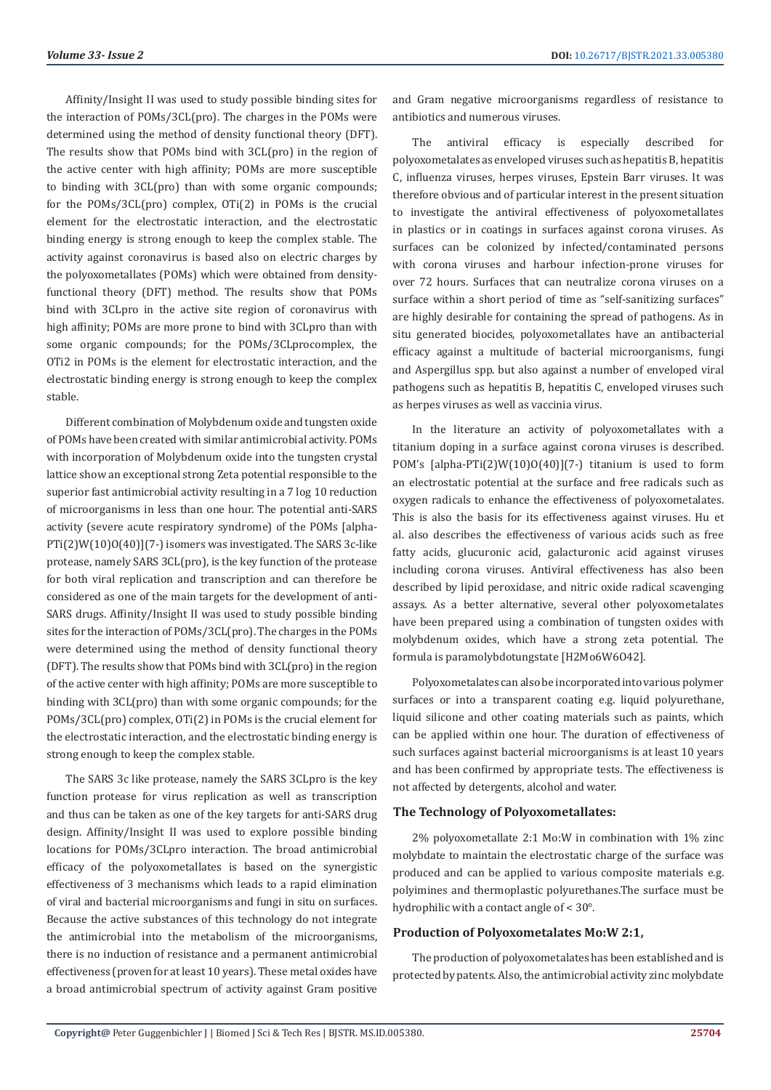Affinity/Insight II was used to study possible binding sites for the interaction of POMs/3CL(pro). The charges in the POMs were determined using the method of density functional theory (DFT). The results show that POMs bind with 3CL(pro) in the region of the active center with high affinity; POMs are more susceptible to binding with 3CL(pro) than with some organic compounds; for the POMs/3CL(pro) complex, OTi(2) in POMs is the crucial element for the electrostatic interaction, and the electrostatic binding energy is strong enough to keep the complex stable. The activity against coronavirus is based also on electric charges by the polyoxometallates (POMs) which were obtained from densityfunctional theory (DFT) method. The results show that POMs bind with 3CLpro in the active site region of coronavirus with high affinity; POMs are more prone to bind with 3CLpro than with some organic compounds; for the POMs/3CLprocomplex, the OTi2 in POMs is the element for electrostatic interaction, and the electrostatic binding energy is strong enough to keep the complex stable.

Different combination of Molybdenum oxide and tungsten oxide of POMs have been created with similar antimicrobial activity. POMs with incorporation of Molybdenum oxide into the tungsten crystal lattice show an exceptional strong Zeta potential responsible to the superior fast antimicrobial activity resulting in a 7 log 10 reduction of microorganisms in less than one hour. The potential anti-SARS activity (severe acute respiratory syndrome) of the POMs [alpha-PTi(2)W(10)O(40)](7-) isomers was investigated. The SARS 3c-like protease, namely SARS 3CL(pro), is the key function of the protease for both viral replication and transcription and can therefore be considered as one of the main targets for the development of anti-SARS drugs. Affinity/Insight II was used to study possible binding sites for the interaction of POMs/3CL(pro). The charges in the POMs were determined using the method of density functional theory (DFT). The results show that POMs bind with 3CL(pro) in the region of the active center with high affinity; POMs are more susceptible to binding with 3CL(pro) than with some organic compounds; for the POMs/3CL(pro) complex, OTi(2) in POMs is the crucial element for the electrostatic interaction, and the electrostatic binding energy is strong enough to keep the complex stable.

The SARS 3c like protease, namely the SARS 3CLpro is the key function protease for virus replication as well as transcription and thus can be taken as one of the key targets for anti-SARS drug design. Affinity/Insight II was used to explore possible binding locations for POMs/3CLpro interaction. The broad antimicrobial efficacy of the polyoxometallates is based on the synergistic effectiveness of 3 mechanisms which leads to a rapid elimination of viral and bacterial microorganisms and fungi in situ on surfaces. Because the active substances of this technology do not integrate the antimicrobial into the metabolism of the microorganisms, there is no induction of resistance and a permanent antimicrobial effectiveness (proven for at least 10 years). These metal oxides have a broad antimicrobial spectrum of activity against Gram positive

and Gram negative microorganisms regardless of resistance to antibiotics and numerous viruses.

The antiviral efficacy is especially described for polyoxometalates as enveloped viruses such as hepatitis B, hepatitis C, influenza viruses, herpes viruses, Epstein Barr viruses. It was therefore obvious and of particular interest in the present situation to investigate the antiviral effectiveness of polyoxometallates in plastics or in coatings in surfaces against corona viruses. As surfaces can be colonized by infected/contaminated persons with corona viruses and harbour infection-prone viruses for over 72 hours. Surfaces that can neutralize corona viruses on a surface within a short period of time as "self-sanitizing surfaces" are highly desirable for containing the spread of pathogens. As in situ generated biocides, polyoxometallates have an antibacterial efficacy against a multitude of bacterial microorganisms, fungi and Aspergillus spp. but also against a number of enveloped viral pathogens such as hepatitis B, hepatitis C, enveloped viruses such as herpes viruses as well as vaccinia virus.

In the literature an activity of polyoxometallates with a titanium doping in a surface against corona viruses is described. POM's [alpha-PTi(2)W(10)O(40)](7-) titanium is used to form an electrostatic potential at the surface and free radicals such as oxygen radicals to enhance the effectiveness of polyoxometalates. This is also the basis for its effectiveness against viruses. Hu et al. also describes the effectiveness of various acids such as free fatty acids, glucuronic acid, galacturonic acid against viruses including corona viruses. Antiviral effectiveness has also been described by lipid peroxidase, and nitric oxide radical scavenging assays. As a better alternative, several other polyoxometalates have been prepared using a combination of tungsten oxides with molybdenum oxides, which have a strong zeta potential. The formula is paramolybdotungstate [H2Mo6W6O42].

Polyoxometalates can also be incorporated into various polymer surfaces or into a transparent coating e.g. liquid polyurethane, liquid silicone and other coating materials such as paints, which can be applied within one hour. The duration of effectiveness of such surfaces against bacterial microorganisms is at least 10 years and has been confirmed by appropriate tests. The effectiveness is not affected by detergents, alcohol and water.

#### **The Technology of Polyoxometallates:**

2% polyoxometallate 2:1 Mo:W in combination with 1% zinc molybdate to maintain the electrostatic charge of the surface was produced and can be applied to various composite materials e.g. polyimines and thermoplastic polyurethanes.The surface must be hydrophilic with a contact angle of < 30°.

#### **Production of Polyoxometalates Mo:W 2:1,**

The production of polyoxometalates has been established and is protected by patents. Also, the antimicrobial activity zinc molybdate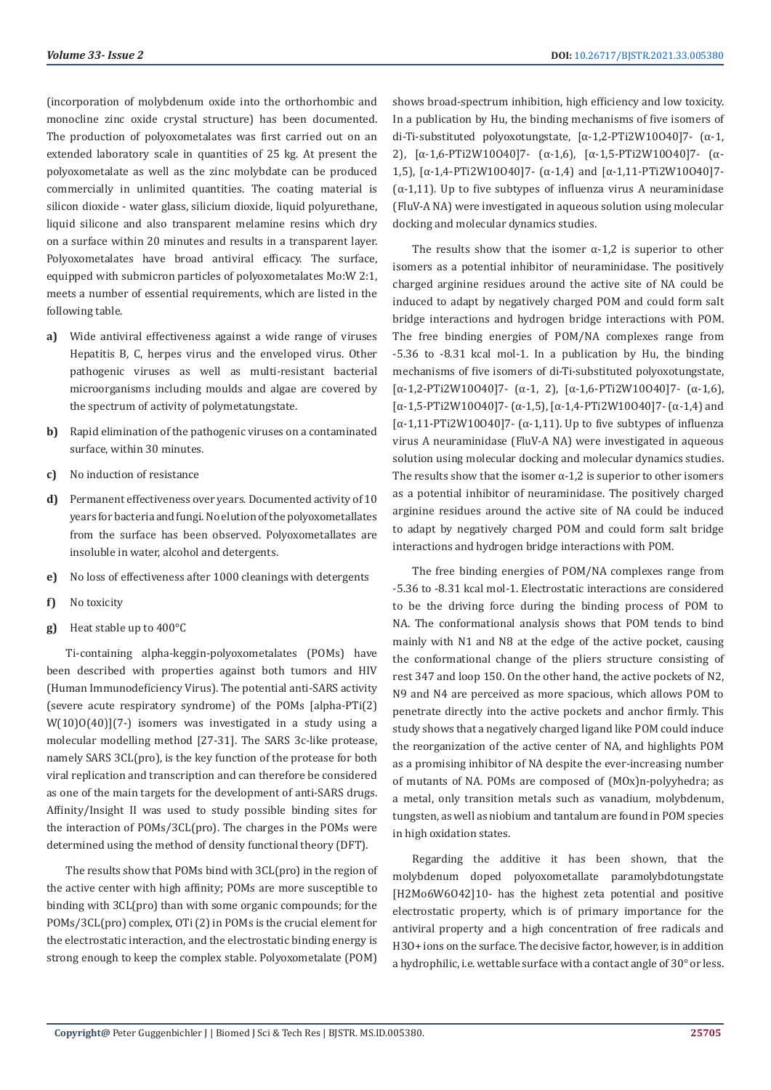(incorporation of molybdenum oxide into the orthorhombic and monocline zinc oxide crystal structure) has been documented. The production of polyoxometalates was first carried out on an extended laboratory scale in quantities of 25 kg. At present the polyoxometalate as well as the zinc molybdate can be produced commercially in unlimited quantities. The coating material is silicon dioxide - water glass, silicium dioxide, liquid polyurethane, liquid silicone and also transparent melamine resins which dry on a surface within 20 minutes and results in a transparent layer. Polyoxometalates have broad antiviral efficacy. The surface, equipped with submicron particles of polyoxometalates Mo:W 2:1, meets a number of essential requirements, which are listed in the following table.

- **a)** Wide antiviral effectiveness against a wide range of viruses Hepatitis B, C, herpes virus and the enveloped virus. Other pathogenic viruses as well as multi-resistant bacterial microorganisms including moulds and algae are covered by the spectrum of activity of polymetatungstate.
- **b)** Rapid elimination of the pathogenic viruses on a contaminated surface, within 30 minutes.
- **c)** No induction of resistance
- **d)** Permanent effectiveness over years. Documented activity of 10 years for bacteria and fungi. No elution of the polyoxometallates from the surface has been observed. Polyoxometallates are insoluble in water, alcohol and detergents.
- **e)** No loss of effectiveness after 1000 cleanings with detergents
- **f)** No toxicity
- **g)** Heat stable up to 400°C

Ti-containing alpha-keggin-polyoxometalates (POMs) have been described with properties against both tumors and HIV (Human Immunodeficiency Virus). The potential anti-SARS activity (severe acute respiratory syndrome) of the POMs [alpha-PTi(2) W(10)O(40)](7-) isomers was investigated in a study using a molecular modelling method [27-31]. The SARS 3c-like protease, namely SARS 3CL(pro), is the key function of the protease for both viral replication and transcription and can therefore be considered as one of the main targets for the development of anti-SARS drugs. Affinity/Insight II was used to study possible binding sites for the interaction of POMs/3CL(pro). The charges in the POMs were determined using the method of density functional theory (DFT).

The results show that POMs bind with 3CL(pro) in the region of the active center with high affinity; POMs are more susceptible to binding with 3CL(pro) than with some organic compounds; for the POMs/3CL(pro) complex, OTi (2) in POMs is the crucial element for the electrostatic interaction, and the electrostatic binding energy is strong enough to keep the complex stable. Polyoxometalate (POM)

shows broad-spectrum inhibition, high efficiency and low toxicity. In a publication by Hu, the binding mechanisms of five isomers of di-Ti-substituted polyoxotungstate, [α-1,2-PTi2W10O40]7- (α-1, 2), [α-1,6-PTi2W10O40]7- (α-1,6), [α-1,5-PTi2W10O40]7- (α-1,5), [α-1,4-PTi2W10O40]7- (α-1,4) and [α-1,11-PTi2W10O40]7- ( $\alpha$ -1,11). Up to five subtypes of influenza virus A neuraminidase (FluV-A NA) were investigated in aqueous solution using molecular docking and molecular dynamics studies.

The results show that the isomer  $\alpha$ -1,2 is superior to other isomers as a potential inhibitor of neuraminidase. The positively charged arginine residues around the active site of NA could be induced to adapt by negatively charged POM and could form salt bridge interactions and hydrogen bridge interactions with POM. The free binding energies of POM/NA complexes range from -5.36 to -8.31 kcal mol-1. In a publication by Hu, the binding mechanisms of five isomers of di-Ti-substituted polyoxotungstate, [α-1,2-PTi2W10O40]7- (α-1, 2), [α-1,6-PTi2W10O40]7- (α-1,6), [α-1,5-PTi2W10O40]7- (α-1,5), [α-1,4-PTi2W10O40]7- (α-1,4) and [ $α-1$ ,11-PTi2W10O40]7-  $(α-1)11$ . Up to five subtypes of influenza virus A neuraminidase (FluV-A NA) were investigated in aqueous solution using molecular docking and molecular dynamics studies. The results show that the isomer  $\alpha$ -1,2 is superior to other isomers as a potential inhibitor of neuraminidase. The positively charged arginine residues around the active site of NA could be induced to adapt by negatively charged POM and could form salt bridge interactions and hydrogen bridge interactions with POM.

The free binding energies of POM/NA complexes range from -5.36 to -8.31 kcal mol-1. Electrostatic interactions are considered to be the driving force during the binding process of POM to NA. The conformational analysis shows that POM tends to bind mainly with N1 and N8 at the edge of the active pocket, causing the conformational change of the pliers structure consisting of rest 347 and loop 150. On the other hand, the active pockets of N2, N9 and N4 are perceived as more spacious, which allows POM to penetrate directly into the active pockets and anchor firmly. This study shows that a negatively charged ligand like POM could induce the reorganization of the active center of NA, and highlights POM as a promising inhibitor of NA despite the ever-increasing number of mutants of NA. POMs are composed of (MOx)n-polyyhedra; as a metal, only transition metals such as vanadium, molybdenum, tungsten, as well as niobium and tantalum are found in POM species in high oxidation states.

Regarding the additive it has been shown, that the molybdenum doped polyoxometallate paramolybdotungstate [H2Mo6W6O42]10- has the highest zeta potential and positive electrostatic property, which is of primary importance for the antiviral property and a high concentration of free radicals and H3O+ ions on the surface. The decisive factor, however, is in addition a hydrophilic, i.e. wettable surface with a contact angle of 30° or less.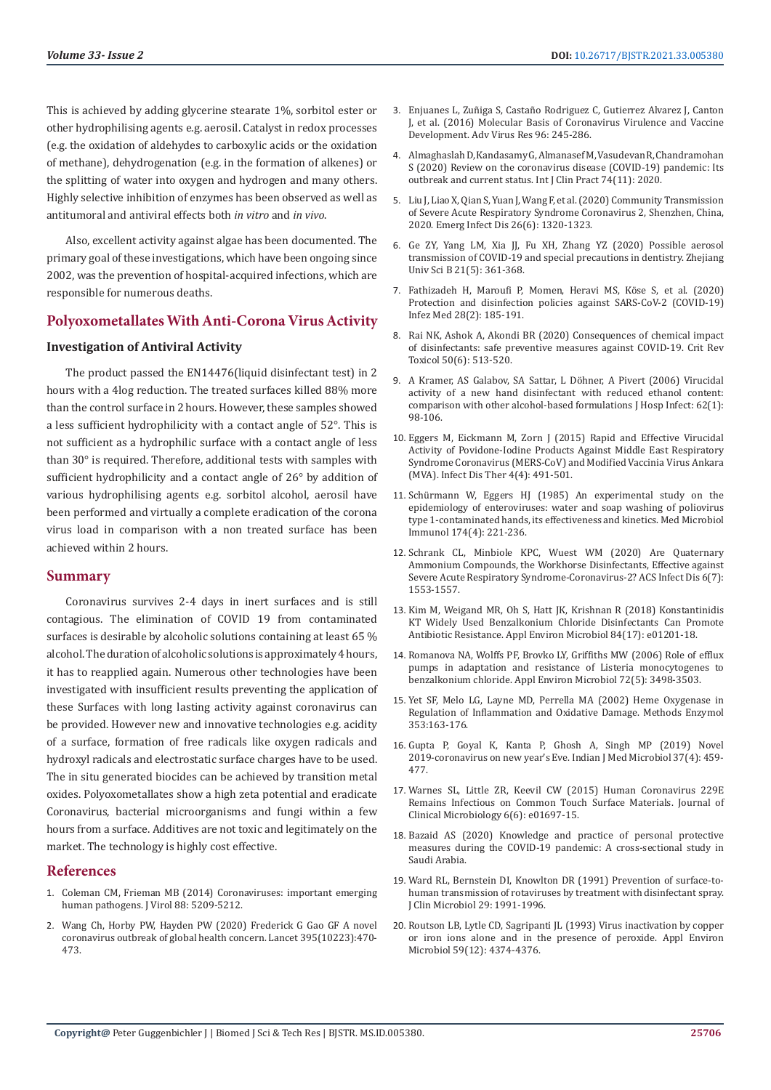This is achieved by adding glycerine stearate 1%, sorbitol ester or other hydrophilising agents e.g. aerosil. Catalyst in redox processes (e.g. the oxidation of aldehydes to carboxylic acids or the oxidation of methane), dehydrogenation (e.g. in the formation of alkenes) or the splitting of water into oxygen and hydrogen and many others. Highly selective inhibition of enzymes has been observed as well as antitumoral and antiviral effects both *in vitro* and *in vivo*.

Also, excellent activity against algae has been documented. The primary goal of these investigations, which have been ongoing since 2002, was the prevention of hospital-acquired infections, which are responsible for numerous deaths.

# **Polyoxometallates With Anti-Corona Virus Activity**

# **Investigation of Antiviral Activity**

The product passed the EN14476(liquid disinfectant test) in 2 hours with a 4log reduction. The treated surfaces killed 88% more than the control surface in 2 hours. However, these samples showed a less sufficient hydrophilicity with a contact angle of 52°. This is not sufficient as a hydrophilic surface with a contact angle of less than 30° is required. Therefore, additional tests with samples with sufficient hydrophilicity and a contact angle of 26° by addition of various hydrophilising agents e.g. sorbitol alcohol, aerosil have been performed and virtually a complete eradication of the corona virus load in comparison with a non treated surface has been achieved within 2 hours.

### **Summary**

Coronavirus survives 2-4 days in inert surfaces and is still contagious. The elimination of COVID 19 from contaminated surfaces is desirable by alcoholic solutions containing at least 65 % alcohol. The duration of alcoholic solutions is approximately 4 hours, it has to reapplied again. Numerous other technologies have been investigated with insufficient results preventing the application of these Surfaces with long lasting activity against coronavirus can be provided. However new and innovative technologies e.g. acidity of a surface, formation of free radicals like oxygen radicals and hydroxyl radicals and electrostatic surface charges have to be used. The in situ generated biocides can be achieved by transition metal oxides. Polyoxometallates show a high zeta potential and eradicate Coronavirus, bacterial microorganisms and fungi within a few hours from a surface. Additives are not toxic and legitimately on the market. The technology is highly cost effective.

#### **References**

- 1. [Coleman CM, Frieman MB \(2014\) Coronaviruses: important emerging](https://www.ncbi.nlm.nih.gov/pmc/articles/PMC4019136/)  [human pathogens. J Virol 88: 5209-5212.](https://www.ncbi.nlm.nih.gov/pmc/articles/PMC4019136/)
- 2. Wang Ch, Horby PW, Hayden PW (2020) Frederick G Gao GF A novel coronavirus outbreak of global health concern. Lancet 395(10223):470- 473.
- 3. [Enjuanes L, Zuñiga S, Castaño Rodriguez C, Gutierrez Alvarez J, Canton](https://pubmed.ncbi.nlm.nih.gov/27712626/) [J, et al. \(2016\) Molecular Basis of Coronavirus Virulence and Vaccine](https://pubmed.ncbi.nlm.nih.gov/27712626/) [Development. Adv Virus Res 96: 245-286.](https://pubmed.ncbi.nlm.nih.gov/27712626/)
- 4. [Almaghaslah D, Kandasamy G, Almanasef M, Vasudevan R, Chandramohan](https://onlinelibrary.wiley.com/doi/full/10.1111/ijcp.13637) [S \(2020\) Review on the coronavirus disease \(COVID-19\) pandemic: Its](https://onlinelibrary.wiley.com/doi/full/10.1111/ijcp.13637) [outbreak and current status. Int J Clin Pract 74\(11\): 2020.](https://onlinelibrary.wiley.com/doi/full/10.1111/ijcp.13637)
- 5. [Liu J, Liao X, Qian S, Yuan J, Wang F, et al. \(2020\) Community Transmission](https://pubmed.ncbi.nlm.nih.gov/32125269/) [of Severe Acute Respiratory Syndrome Coronavirus 2, Shenzhen, China,](https://pubmed.ncbi.nlm.nih.gov/32125269/) [2020. Emerg Infect Dis 26\(6\): 1320-1323.](https://pubmed.ncbi.nlm.nih.gov/32125269/)
- 6. [Ge ZY, Yang LM, Xia JJ, Fu XH, Zhang YZ \(2020\) Possible aerosol](https://www.ncbi.nlm.nih.gov/pmc/articles/PMC7089481/) [transmission of COVID-19 and special precautions in dentistry. Zhejiang](https://www.ncbi.nlm.nih.gov/pmc/articles/PMC7089481/) [Univ Sci B 21\(5\): 361-368.](https://www.ncbi.nlm.nih.gov/pmc/articles/PMC7089481/)
- 7. [Fathizadeh H, Maroufi P, Momen, Heravi MS, K](https://pubmed.ncbi.nlm.nih.gov/32275260/)öse S, et al. (2020) [Protection and disinfection policies against SARS-CoV-2 \(COVID-19\)](https://pubmed.ncbi.nlm.nih.gov/32275260/) [Infez Med 28\(2\): 185-191.](https://pubmed.ncbi.nlm.nih.gov/32275260/)
- 8. [Rai NK, Ashok A, Akondi BR \(2020\) Consequences of chemical impact](https://pubmed.ncbi.nlm.nih.gov/32729370/) [of disinfectants: safe preventive measures against COVID-19. Crit Rev](https://pubmed.ncbi.nlm.nih.gov/32729370/) [Toxicol 50\(6\): 513-520.](https://pubmed.ncbi.nlm.nih.gov/32729370/)
- 9. [A Kramer, AS Galabov, SA Sattar, L Döhner, A Pivert \(2006\) Virucidal](https://www.ncbi.nlm.nih.gov/pmc/articles/PMC7132428/) [activity of a new hand disinfectant with reduced ethanol content:](https://www.ncbi.nlm.nih.gov/pmc/articles/PMC7132428/) [comparison with other alcohol-based formulations J Hosp Infect: 62\(1\):](https://www.ncbi.nlm.nih.gov/pmc/articles/PMC7132428/) [98-106.](https://www.ncbi.nlm.nih.gov/pmc/articles/PMC7132428/)
- 10. [Eggers M, Eickmann M, Zorn J \(2015\) Rapid and Effective Virucidal](https://pubmed.ncbi.nlm.nih.gov/26416214/) [Activity of Povidone-Iodine Products Against Middle East Respiratory](https://pubmed.ncbi.nlm.nih.gov/26416214/) [Syndrome Coronavirus \(MERS-CoV\) and Modified Vaccinia Virus Ankara](https://pubmed.ncbi.nlm.nih.gov/26416214/) [\(MVA\). Infect Dis Ther 4\(4\): 491-501.](https://pubmed.ncbi.nlm.nih.gov/26416214/)
- 11. [Schürmann W, Eggers HJ \(1985\) An experimental study on the](https://pubmed.ncbi.nlm.nih.gov/3003550/) [epidemiology of enteroviruses: water and soap washing of poliovirus](https://pubmed.ncbi.nlm.nih.gov/3003550/) [type 1-contaminated hands, its effectiveness and kinetics. Med Microbiol](https://pubmed.ncbi.nlm.nih.gov/3003550/) [Immunol 174\(4\): 221-236.](https://pubmed.ncbi.nlm.nih.gov/3003550/)
- 12. [Schrank CL, Minbiole KPC, Wuest WM \(2020\) Are Quaternary](https://pubs.acs.org/doi/10.1021/acsinfecdis.0c00265) [Ammonium Compounds, the Workhorse Disinfectants, Effective against](https://pubs.acs.org/doi/10.1021/acsinfecdis.0c00265) [Severe Acute Respiratory Syndrome-Coronavirus-2? ACS Infect Dis 6\(7\):](https://pubs.acs.org/doi/10.1021/acsinfecdis.0c00265) [1553-1557.](https://pubs.acs.org/doi/10.1021/acsinfecdis.0c00265)
- 13. [Kim M, Weigand MR, Oh S, Hatt JK, Krishnan R \(2018\) Konstantinidis](https://pubmed.ncbi.nlm.nih.gov/29959242/) [KT Widely Used Benzalkonium Chloride Disinfectants Can Promote](https://pubmed.ncbi.nlm.nih.gov/29959242/) [Antibiotic Resistance. Appl Environ Microbiol 84\(17\): e01201-18.](https://pubmed.ncbi.nlm.nih.gov/29959242/)
- 14. [Romanova NA, Wolffs PF, Brovko LY, Griffiths MW \(2006\) Role of efflux](https://pubmed.ncbi.nlm.nih.gov/16672496/) [pumps in adaptation and resistance of Listeria monocytogenes to](https://pubmed.ncbi.nlm.nih.gov/16672496/) [benzalkonium chloride. Appl Environ Microbiol 72\(5\): 3498-3503.](https://pubmed.ncbi.nlm.nih.gov/16672496/)
- 15. [Yet SF, Melo LG, Layne MD, Perrella MA \(2002\) Heme Oxygenase in](https://pubmed.ncbi.nlm.nih.gov/12078492/) [Regulation of Inflammation and Oxidative Damage. Methods Enzymol](https://pubmed.ncbi.nlm.nih.gov/12078492/) [353:163-176.](https://pubmed.ncbi.nlm.nih.gov/12078492/)
- 16. [Gupta P, Goyal K, Kanta P, Ghosh A, Singh MP \(2019\) Novel](https://pubmed.ncbi.nlm.nih.gov/32436867/) [2019-coronavirus on new year's Eve. Indian J Med Microbiol 37\(4\): 459-](https://pubmed.ncbi.nlm.nih.gov/32436867/) [477.](https://pubmed.ncbi.nlm.nih.gov/32436867/)
- 17. [Warnes SL, Little ZR, Keevil CW \(2015\) Human Coronavirus 229E](https://www.ncbi.nlm.nih.gov/pmc/articles/PMC4659470/) [Remains Infectious on Common Touch Surface Materials. Journal of](https://www.ncbi.nlm.nih.gov/pmc/articles/PMC4659470/) [Clinical Microbiology 6\(6\): e01697-15.](https://www.ncbi.nlm.nih.gov/pmc/articles/PMC4659470/)
- 18. [Bazaid AS \(2020\) Knowledge and practice of personal protective](https://journals.plos.org/plosone/article?id=10.1371/journal.pone.0243695) [measures during the COVID-19 pandemic: A cross-sectional study in](https://journals.plos.org/plosone/article?id=10.1371/journal.pone.0243695) [Saudi Arabia.](https://journals.plos.org/plosone/article?id=10.1371/journal.pone.0243695)
- 19. [Ward RL, Bernstein DI, Knowlton DR \(1991\) Prevention of surface-to](https://www.ncbi.nlm.nih.gov/pmc/articles/PMC270247/)[human transmission of rotaviruses by treatment with disinfectant spray.](https://www.ncbi.nlm.nih.gov/pmc/articles/PMC270247/) [J Clin Microbiol 29: 1991-1996.](https://www.ncbi.nlm.nih.gov/pmc/articles/PMC270247/)
- 20. [Routson LB, Lytle CD, Sagripanti JL \(1993\) Virus inactivation by copper](https://www.ncbi.nlm.nih.gov/pmc/articles/PMC195916/) [or iron ions alone and in the presence of peroxide. Appl Environ](https://www.ncbi.nlm.nih.gov/pmc/articles/PMC195916/) [Microbiol 59\(12\): 4374-4376.](https://www.ncbi.nlm.nih.gov/pmc/articles/PMC195916/)